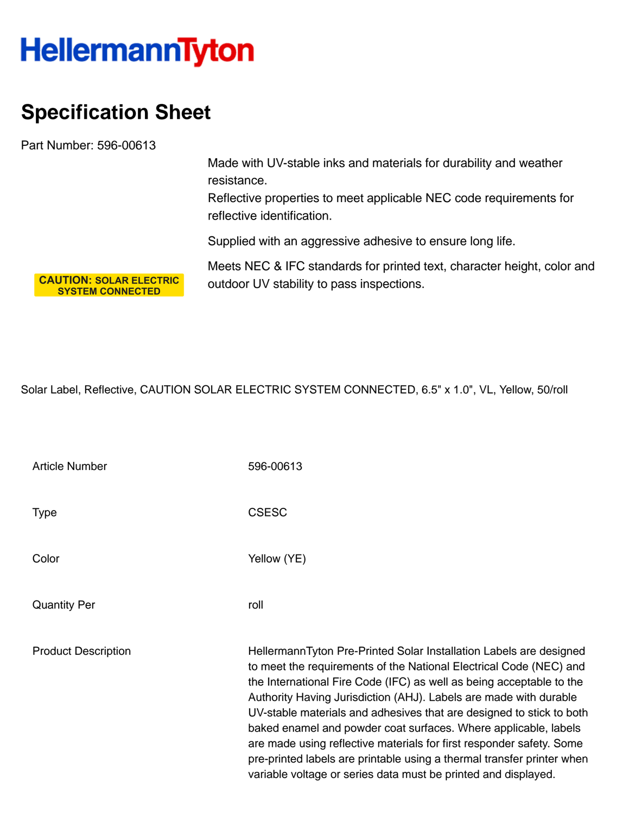## **HellermannTyton**

## **Specification Sheet**

Part Number: 596-00613

Made with UV-stable inks and materials for durability and weather resistance.

Reflective properties to meet applicable NEC code requirements for reflective identification.

Supplied with an aggressive adhesive to ensure long life.

Meets NEC & IFC standards for printed text, character height, color and outdoor UV stability to pass inspections.

**CAUTION: SOLAR ELECTRIC SYSTEM CONNECTED** 

Solar Label, Reflective, CAUTION SOLAR ELECTRIC SYSTEM CONNECTED, 6.5" x 1.0", VL, Yellow, 50/roll

| <b>Article Number</b>      | 596-00613                                                                                                                                                                                                                                                                                                                                                                                                                                                                                                                                                                                                                                            |
|----------------------------|------------------------------------------------------------------------------------------------------------------------------------------------------------------------------------------------------------------------------------------------------------------------------------------------------------------------------------------------------------------------------------------------------------------------------------------------------------------------------------------------------------------------------------------------------------------------------------------------------------------------------------------------------|
| Type                       | <b>CSESC</b>                                                                                                                                                                                                                                                                                                                                                                                                                                                                                                                                                                                                                                         |
| Color                      | Yellow (YE)                                                                                                                                                                                                                                                                                                                                                                                                                                                                                                                                                                                                                                          |
| <b>Quantity Per</b>        | roll                                                                                                                                                                                                                                                                                                                                                                                                                                                                                                                                                                                                                                                 |
| <b>Product Description</b> | HellermannTyton Pre-Printed Solar Installation Labels are designed<br>to meet the requirements of the National Electrical Code (NEC) and<br>the International Fire Code (IFC) as well as being acceptable to the<br>Authority Having Jurisdiction (AHJ). Labels are made with durable<br>UV-stable materials and adhesives that are designed to stick to both<br>baked enamel and powder coat surfaces. Where applicable, labels<br>are made using reflective materials for first responder safety. Some<br>pre-printed labels are printable using a thermal transfer printer when<br>variable voltage or series data must be printed and displayed. |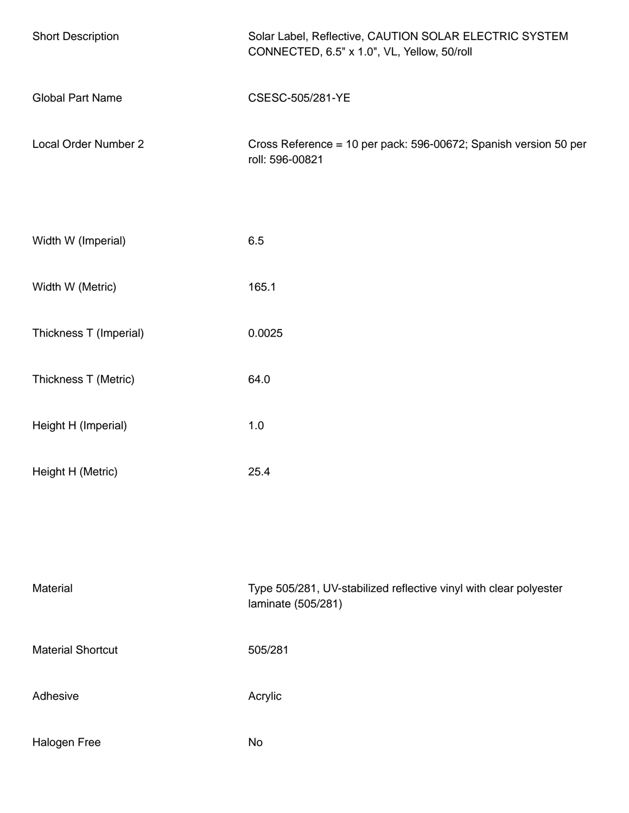| <b>Short Description</b> | Solar Label, Reflective, CAUTION SOLAR ELECTRIC SYSTEM<br>CONNECTED, 6.5" x 1.0", VL, Yellow, 50/roll |
|--------------------------|-------------------------------------------------------------------------------------------------------|
| <b>Global Part Name</b>  | CSESC-505/281-YE                                                                                      |
| Local Order Number 2     | Cross Reference = 10 per pack: 596-00672; Spanish version 50 per<br>roll: 596-00821                   |
| Width W (Imperial)       | 6.5                                                                                                   |
| Width W (Metric)         | 165.1                                                                                                 |
| Thickness T (Imperial)   | 0.0025                                                                                                |
| Thickness T (Metric)     | 64.0                                                                                                  |
| Height H (Imperial)      | 1.0                                                                                                   |
| Height H (Metric)        | 25.4                                                                                                  |
|                          |                                                                                                       |
| Material                 | Type 505/281, UV-stabilized reflective vinyl with clear polyester<br>laminate (505/281)               |
| <b>Material Shortcut</b> | 505/281                                                                                               |
| Adhesive                 | Acrylic                                                                                               |
| Halogen Free             | No                                                                                                    |